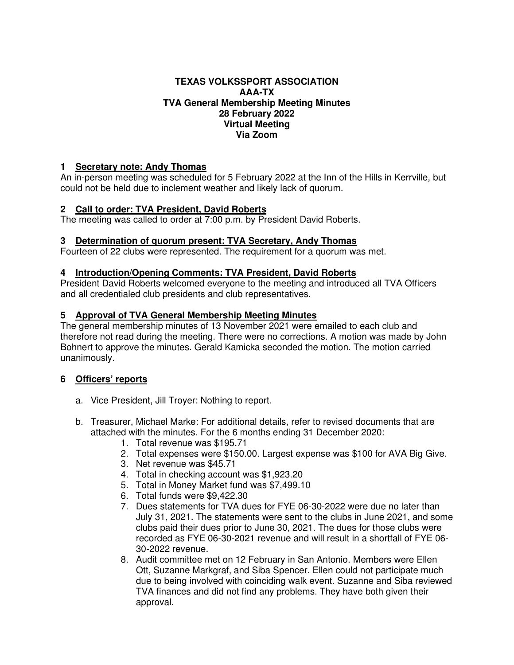#### **TEXAS VOLKSSPORT ASSOCIATION AAA-TX TVA General Membership Meeting Minutes 28 February 2022 Virtual Meeting Via Zoom**

## **1 Secretary note: Andy Thomas**

An in-person meeting was scheduled for 5 February 2022 at the Inn of the Hills in Kerrville, but could not be held due to inclement weather and likely lack of quorum.

## **2 Call to order: TVA President, David Roberts**

The meeting was called to order at 7:00 p.m. by President David Roberts.

## **3 Determination of quorum present: TVA Secretary, Andy Thomas**

Fourteen of 22 clubs were represented. The requirement for a quorum was met.

## **4 Introduction/Opening Comments: TVA President, David Roberts**

President David Roberts welcomed everyone to the meeting and introduced all TVA Officers and all credentialed club presidents and club representatives.

## **5 Approval of TVA General Membership Meeting Minutes**

The general membership minutes of 13 November 2021 were emailed to each club and therefore not read during the meeting. There were no corrections. A motion was made by John Bohnert to approve the minutes. Gerald Kamicka seconded the motion. The motion carried unanimously.

## **6 Officers' reports**

- a. Vice President, Jill Troyer: Nothing to report.
- b. Treasurer, Michael Marke: For additional details, refer to revised documents that are attached with the minutes. For the 6 months ending 31 December 2020:
	- 1. Total revenue was \$195.71
	- 2. Total expenses were \$150.00. Largest expense was \$100 for AVA Big Give.
	- 3. Net revenue was \$45.71
	- 4. Total in checking account was \$1,923.20
	- 5. Total in Money Market fund was \$7,499.10
	- 6. Total funds were \$9,422.30
	- 7. Dues statements for TVA dues for FYE 06-30-2022 were due no later than July 31, 2021. The statements were sent to the clubs in June 2021, and some clubs paid their dues prior to June 30, 2021. The dues for those clubs were recorded as FYE 06-30-2021 revenue and will result in a shortfall of FYE 06- 30-2022 revenue.
	- 8. Audit committee met on 12 February in San Antonio. Members were Ellen Ott, Suzanne Markgraf, and Siba Spencer. Ellen could not participate much due to being involved with coinciding walk event. Suzanne and Siba reviewed TVA finances and did not find any problems. They have both given their approval.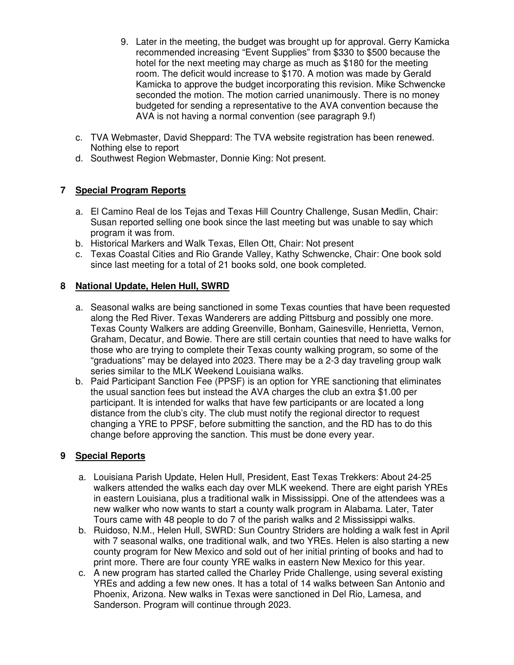- 9. Later in the meeting, the budget was brought up for approval. Gerry Kamicka recommended increasing "Event Supplies" from \$330 to \$500 because the hotel for the next meeting may charge as much as \$180 for the meeting room. The deficit would increase to \$170. A motion was made by Gerald Kamicka to approve the budget incorporating this revision. Mike Schwencke seconded the motion. The motion carried unanimously. There is no money budgeted for sending a representative to the AVA convention because the AVA is not having a normal convention (see paragraph 9.f)
- c. TVA Webmaster, David Sheppard: The TVA website registration has been renewed. Nothing else to report
- d. Southwest Region Webmaster, Donnie King: Not present.

# **7 Special Program Reports**

- a. El Camino Real de los Tejas and Texas Hill Country Challenge, Susan Medlin, Chair: Susan reported selling one book since the last meeting but was unable to say which program it was from.
- b. Historical Markers and Walk Texas, Ellen Ott, Chair: Not present
- c. Texas Coastal Cities and Rio Grande Valley, Kathy Schwencke, Chair: One book sold since last meeting for a total of 21 books sold, one book completed.

# **8 National Update, Helen Hull, SWRD**

- a. Seasonal walks are being sanctioned in some Texas counties that have been requested along the Red River. Texas Wanderers are adding Pittsburg and possibly one more. Texas County Walkers are adding Greenville, Bonham, Gainesville, Henrietta, Vernon, Graham, Decatur, and Bowie. There are still certain counties that need to have walks for those who are trying to complete their Texas county walking program, so some of the "graduations" may be delayed into 2023. There may be a 2-3 day traveling group walk series similar to the MLK Weekend Louisiana walks.
- b. Paid Participant Sanction Fee (PPSF) is an option for YRE sanctioning that eliminates the usual sanction fees but instead the AVA charges the club an extra \$1.00 per participant. It is intended for walks that have few participants or are located a long distance from the club's city. The club must notify the regional director to request changing a YRE to PPSF, before submitting the sanction, and the RD has to do this change before approving the sanction. This must be done every year.

# **9 Special Reports**

- a. Louisiana Parish Update, Helen Hull, President, East Texas Trekkers: About 24-25 walkers attended the walks each day over MLK weekend. There are eight parish YREs in eastern Louisiana, plus a traditional walk in Mississippi. One of the attendees was a new walker who now wants to start a county walk program in Alabama. Later, Tater Tours came with 48 people to do 7 of the parish walks and 2 Mississippi walks.
- b. Ruidoso, N.M., Helen Hull, SWRD: Sun Country Striders are holding a walk fest in April with 7 seasonal walks, one traditional walk, and two YREs. Helen is also starting a new county program for New Mexico and sold out of her initial printing of books and had to print more. There are four county YRE walks in eastern New Mexico for this year.
- c. A new program has started called the Charley Pride Challenge, using several existing YREs and adding a few new ones. It has a total of 14 walks between San Antonio and Phoenix, Arizona. New walks in Texas were sanctioned in Del Rio, Lamesa, and Sanderson. Program will continue through 2023.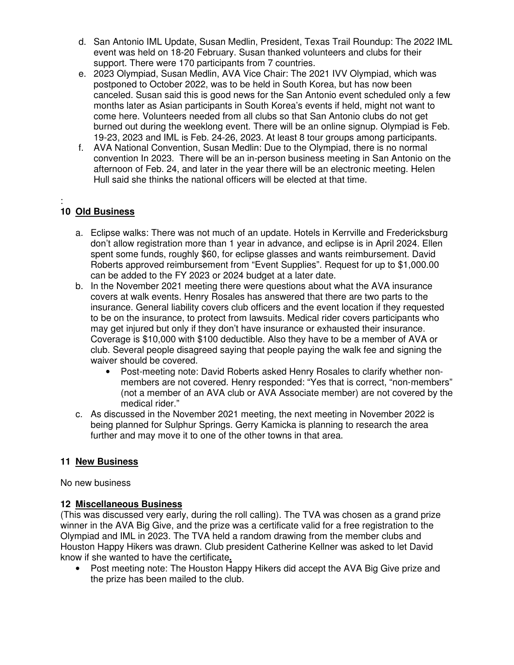- d. San Antonio IML Update, Susan Medlin, President, Texas Trail Roundup: The 2022 IML event was held on 18-20 February. Susan thanked volunteers and clubs for their support. There were 170 participants from 7 countries.
- e. 2023 Olympiad, Susan Medlin, AVA Vice Chair: The 2021 IVV Olympiad, which was postponed to October 2022, was to be held in South Korea, but has now been canceled. Susan said this is good news for the San Antonio event scheduled only a few months later as Asian participants in South Korea's events if held, might not want to come here. Volunteers needed from all clubs so that San Antonio clubs do not get burned out during the weeklong event. There will be an online signup. Olympiad is Feb. 19-23, 2023 and IML is Feb. 24-26, 2023. At least 8 tour groups among participants.
- f. AVA National Convention, Susan Medlin: Due to the Olympiad, there is no normal convention In 2023. There will be an in-person business meeting in San Antonio on the afternoon of Feb. 24, and later in the year there will be an electronic meeting. Helen Hull said she thinks the national officers will be elected at that time.

#### : **10 Old Business**

- a. Eclipse walks: There was not much of an update. Hotels in Kerrville and Fredericksburg don't allow registration more than 1 year in advance, and eclipse is in April 2024. Ellen spent some funds, roughly \$60, for eclipse glasses and wants reimbursement. David Roberts approved reimbursement from "Event Supplies". Request for up to \$1,000.00 can be added to the FY 2023 or 2024 budget at a later date.
- b. In the November 2021 meeting there were questions about what the AVA insurance covers at walk events. Henry Rosales has answered that there are two parts to the insurance. General liability covers club officers and the event location if they requested to be on the insurance, to protect from lawsuits. Medical rider covers participants who may get injured but only if they don't have insurance or exhausted their insurance. Coverage is \$10,000 with \$100 deductible. Also they have to be a member of AVA or club. Several people disagreed saying that people paying the walk fee and signing the waiver should be covered.
	- Post-meeting note: David Roberts asked Henry Rosales to clarify whether nonmembers are not covered. Henry responded: "Yes that is correct, "non-members" (not a member of an AVA club or AVA Associate member) are not covered by the medical rider."
- c. As discussed in the November 2021 meeting, the next meeting in November 2022 is being planned for Sulphur Springs. Gerry Kamicka is planning to research the area further and may move it to one of the other towns in that area.

# **11 New Business**

No new business

## **12 Miscellaneous Business**

(This was discussed very early, during the roll calling). The TVA was chosen as a grand prize winner in the AVA Big Give, and the prize was a certificate valid for a free registration to the Olympiad and IML in 2023. The TVA held a random drawing from the member clubs and Houston Happy Hikers was drawn. Club president Catherine Kellner was asked to let David know if she wanted to have the certificate**.** 

• Post meeting note: The Houston Happy Hikers did accept the AVA Big Give prize and the prize has been mailed to the club.